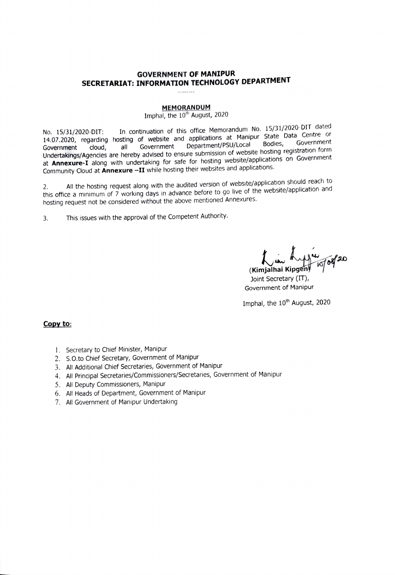### **GOVERNMENT OF MANIPUR** SECRETARIAT: INFORMATION TECHNOLOGY DEPARTMENT

#### **MEMORANDUM**

### Imphal, the 10<sup>th</sup> August, 2020

In continuation of this office Memorandum No. 15/31/2020-DIT dated No. 15/31/2020-DIT: 14.07.2020, regarding hosting of website and applications at Manipur State Data Centre or Government Government Department/PSU/Local Bodies, cloud, all Government Undertakings/Agencies are hereby advised to ensure submission of website hosting registration form at Annexure-I along with undertaking for safe for hosting website/applications on Government Community Cloud at Annexure -II while hosting their websites and applications.

All the hosting request along with the audited version of website/application should reach to  $\mathfrak{D}$ . this office a minimum of 7 working days in advance before to go live of the website/application and hosting request not be considered without the above mentioned Annexures.

This issues with the approval of the Competent Authority.  $3.$ 

 $\frac{1004}{1000}$ (Kimjalhai Kipgen

Joint Secretary (IT), Government of Manipur

Imphal, the 10<sup>th</sup> August, 2020

#### Copy to:

- 1. Secretary to Chief Minister, Manipur
- 2. S.O.to Chief Secretary, Government of Manipur
- 3. All Additional Chief Secretaries, Government of Manipur
- 4. All Principal Secretaries/Commissioners/Secretaries, Government of Manipur
- 5. All Deputy Commissioners, Manipur
- 6. All Heads of Department, Government of Manipur
- 7. All Government of Manipur Undertaking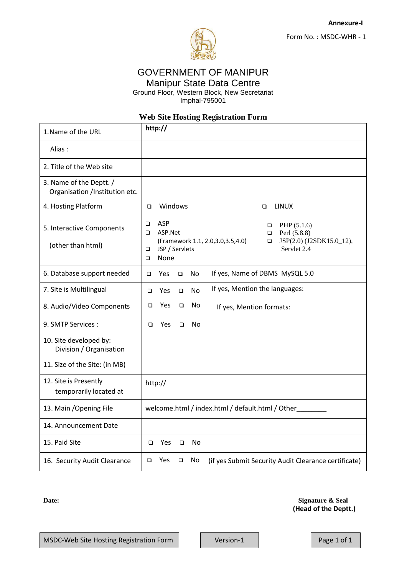

# GOVERNMENT OF MANIPUR Manipur State Data Centre

Ground Floor, Western Block, New Secretariat

Imphal-795001

## **Web Site Hosting Registration Form**

| 1. Name of the URL                                        | http://                                                                                                                                                                                                              |  |  |
|-----------------------------------------------------------|----------------------------------------------------------------------------------------------------------------------------------------------------------------------------------------------------------------------|--|--|
| Alias:                                                    |                                                                                                                                                                                                                      |  |  |
| 2. Title of the Web site                                  |                                                                                                                                                                                                                      |  |  |
| 3. Name of the Deptt. /<br>Organisation /Institution etc. |                                                                                                                                                                                                                      |  |  |
| 4. Hosting Platform                                       | Windows<br><b>LINUX</b><br>$\Box$<br>$\Box$                                                                                                                                                                          |  |  |
| 5. Interactive Components<br>(other than html)            | <b>ASP</b><br>$\Box$<br>PHP $(5.1.6)$<br>□<br>ASP.Net<br>$\Box$<br>Perl (5.8.8)<br>□<br>JSP(2.0) (J2SDK15.0_12),<br>(Framework 1.1, 2.0, 3.0, 3.5, 4.0)<br>□<br>JSP / Servlets<br>Servlet 2.4<br>$\Box$<br>None<br>□ |  |  |
| 6. Database support needed                                | If yes, Name of DBMS MySQL 5.0<br>No<br>Yes<br>$\Box$<br>$\Box$                                                                                                                                                      |  |  |
| 7. Site is Multilingual                                   | If yes, Mention the languages:<br><b>No</b><br><b>Yes</b><br>$\Box$<br>$\Box$                                                                                                                                        |  |  |
| 8. Audio/Video Components                                 | Yes<br>No<br>$\Box$<br>$\Box$<br>If yes, Mention formats:                                                                                                                                                            |  |  |
| 9. SMTP Services:                                         | Yes<br>No<br>$\Box$<br>$\Box$                                                                                                                                                                                        |  |  |
| 10. Site developed by:<br>Division / Organisation         |                                                                                                                                                                                                                      |  |  |
| 11. Size of the Site: (in MB)                             |                                                                                                                                                                                                                      |  |  |
| 12. Site is Presently<br>temporarily located at           | http://                                                                                                                                                                                                              |  |  |
| 13. Main / Opening File                                   | welcome.html / index.html / default.html / Other                                                                                                                                                                     |  |  |
| 14. Announcement Date                                     |                                                                                                                                                                                                                      |  |  |
| 15. Paid Site                                             | Yes<br>No<br>$\Box$<br>□                                                                                                                                                                                             |  |  |
| 16. Security Audit Clearance                              | $\Box$<br>Yes<br>$\Box$<br>No<br>(if yes Submit Security Audit Clearance certificate)                                                                                                                                |  |  |

**Date:** Signature & Seal  **(Head of the Deptt.)**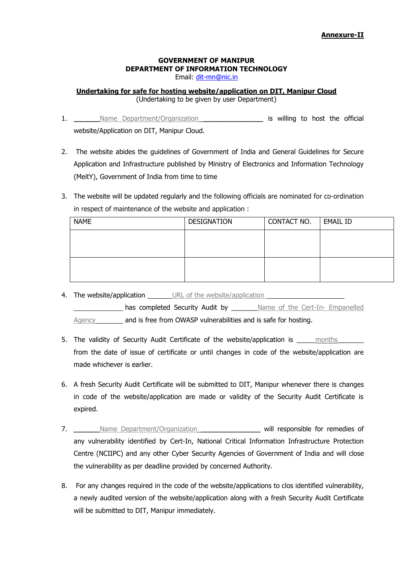## **GOVERNMENT OF MANIPUR DEPARTMENT OF INFORMATION TECHNOLOGY**

Email: [dit-mn@nic.in](mailto:dit-mn@nic.in)

### **Undertaking for safe for hosting website/application on DIT, Manipur Cloud**  (Undertaking to be given by user Department)

- 1. Some Department/Organization and the set of the official set of the official website/Application on DIT, Manipur Cloud.
- 2. The website abides the guidelines of Government of India and General Guidelines for Secure Application and Infrastructure published by Ministry of Electronics and Information Technology (MeitY), Government of India from time to time
- 3. The website will be updated regularly and the following officials are nominated for co-ordination in respect of maintenance of the website and application :

| <b>NAME</b> | DESIGNATION | CONTACT NO. | EMAIL ID |
|-------------|-------------|-------------|----------|
|             |             |             |          |
|             |             |             |          |
|             |             |             |          |
|             |             |             |          |

4. The website/application URL of the website/application

has completed Security Audit by **Name of the Cert-In- Empanelled** Agency \_\_\_\_\_\_ and is free from OWASP vulnerabilities and is safe for hosting.

- 5. The validity of Security Audit Certificate of the website/application is \_\_\_\_\_ months from the date of issue of certificate or until changes in code of the website/application are made whichever is earlier.
- 6. A fresh Security Audit Certificate will be submitted to DIT, Manipur whenever there is changes in code of the website/application are made or validity of the Security Audit Certificate is expired.
- 7. Name Department/Organization **will responsible for remedies of** any vulnerability identified by Cert-In, National Critical Information Infrastructure Protection Centre (NCIIPC) and any other Cyber Security Agencies of Government of India and will close the vulnerability as per deadline provided by concerned Authority.
- 8. For any changes required in the code of the website/applications to clos identified vulnerability, a newly audited version of the website/application along with a fresh Security Audit Certificate will be submitted to DIT, Manipur immediately.